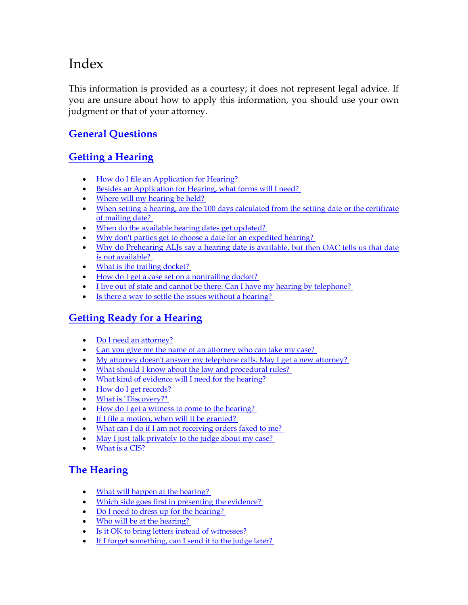# Index

This information is provided as a courtesy; it does not represent legal advice. If you are unsure about how to apply this information, you should use your own judgment or that of your attorney.

## **[General Questions](#page-2-0)**

# **[Getting a Hearing](#page-2-0)**

- How do I file an Application for Hearing?
- [Besides an Application for Hearing, what forms will I need?](#page-3-0)
- Where will my hearing be held?
- [When setting a hearing, are the 100 days calculated from the setting date or the certificate](#page-3-0)  of mailing date?
- When do the available hearing dates get updated?
- [Why don't parties get to choose a date for an expedited hearing?](#page-3-0)
- Why do Prehearing ALJs say a hearing date is available, but then OAC tells us that date is not available?
- What is the trailing docket?
- How do I get a case set on a nontrailing docket?
- I live out of state and cannot be there. Can I have my hearing by telephone?
- Is there a way to settle the issues without a hearing?

## **[Getting Ready for a Hearing](#page-4-0)**

- [Do I need an attorney?](#page-4-0)
- Can you give me the name of an attorney who can take my case?
- My attorney doesn't answer my telephone calls. May I get a new attorney?
- What should I know about the law and procedural rules?
- [What kind of evidence will I need for the hearing?](#page-5-0)
- How do I get records?
- What is "Discovery?"
- How do I get a witness to come to the hearing?
- If I file a motion, when will it be granted?
- [What can I do if I am not receiving orders faxed to me?](#page-7-0)
- May I just talk privately to the judge about my case?
- [What is a CIS?](#page-7-0)

## **[The Hearing](#page-7-0)**

- What will happen at the hearing?
- Which side goes first in presenting the evidence?
- Do I need to dress up for the hearing?
- Who will be at the hearing?
- [Is it OK to bring letters instead of witnesses?](#page-9-0)
- If I forget something, can I send it to the judge later?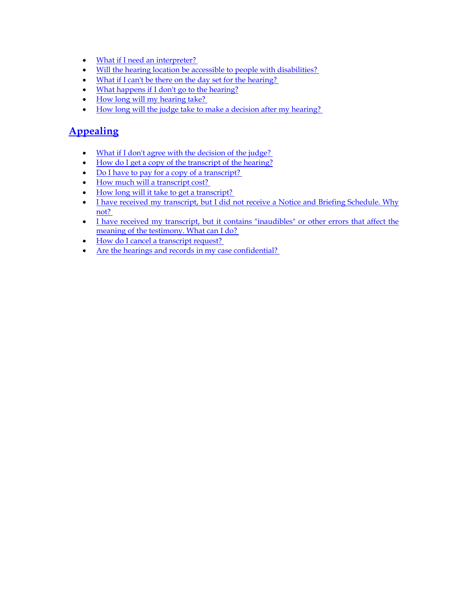- What if I need an interpreter?
- [Will the hearing location be accessible to people with disabilities?](#page-9-0)
- What if I can't be there on the day set for the hearing?
- [What happens if I don't go to the hearing?](#page-10-0)
- How long will my hearing take?
- [How long will the judge take to make a decision after my hearing?](#page-10-0)

### **[Appealing](#page-10-0)**

- [What if I don't agree with the decision of the judge?](#page-10-0)
- [How do I get a copy of the transcript of the hearing?](#page-11-0)
- [Do I have to pay for a copy of a transcript?](#page-11-0)
- How much will a transcript cost?
- How long will it take to get a transcript?
- I have received my transcript, but I did not receive a Notice and Briefing Schedule. Why not?
- I have received my transcript, but it contains "inaudibles" or other errors that affect the meaning of the testimony. What can I do?
- How do I cancel a transcript request?
- Are the hearings and records in my case confidential?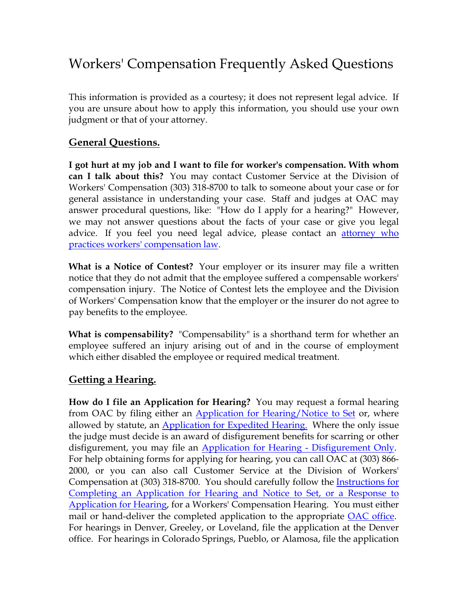# <span id="page-2-0"></span>Workers' Compensation Frequently Asked Questions

This information is provided as a courtesy; it does not represent legal advice. If you are unsure about how to apply this information, you should use your own judgment or that of your attorney.

### **General Questions.**

**I got hurt at my job and I want to file for worker's compensation. With whom can I talk about this?** You may contact Customer Service at the Division of Workers' Compensation (303) 318-8700 to talk to someone about your case or for general assistance in understanding your case. Staff and judges at OAC may answer procedural questions, like: "How do I apply for a hearing?" However, we may not answer questions about the facts of your case or give you legal advice. If you feel you need legal advice, please contact an *attorney who* [practices workers' compensation law.](http://http//www.coworkforce.com/DWC/Attorneys/WC provider List (2008).pdf)

**What is a Notice of Contest?**Your employer or its insurer may file a written notice that they do not admit that the employee suffered a compensable workers' compensation injury. The Notice of Contest lets the employee and the Division of Workers' Compensation know that the employer or the insurer do not agree to pay benefits to the employee.

**What is compensability?** "Compensability" is a shorthand term for whether an employee suffered an injury arising out of and in the course of employment which either disabled the employee or required medical treatment.

#### **Getting a Hearing.**

**How do I file an Application for Hearing?** You may request a formal hearing from OAC by filing either an [Application for Hearing/Notice to Set](http://www.colorado.gov/dpa/oac/pdf/apphrg.pdf) or, where allowed by statute, an [Application for Expedited Hearing.](http://www.colorado.gov/dpa/oac/pdf/appexpd.pdf) Where the only issue the judge must decide is an award of disfigurement benefits for scarring or other disfigurement, you may file an **Application for Hearing - Disfigurement Only**. For help obtaining forms for applying for hearing, you can call OAC at (303) 866- 2000, or you can also call Customer Service at the Division of Workers' Compensation at (303) 318-8700. You should carefully follow the **Instructions for** [Completing an Application for Hearing and Notice to Set, or a Response to](http://www.colorado.gov/dpa/oac/pdf/Instructions.pdf)  [Application for Hearing](http://www.colorado.gov/dpa/oac/pdf/Instructions.pdf), for a Workers' Compensation Hearing. You must either mail or hand-deliver the completed application to the appropriate **OAC** office. For hearings in Denver, Greeley, or Loveland, file the application at the Denver office. For hearings in Colorado Springs, Pueblo, or Alamosa, file the application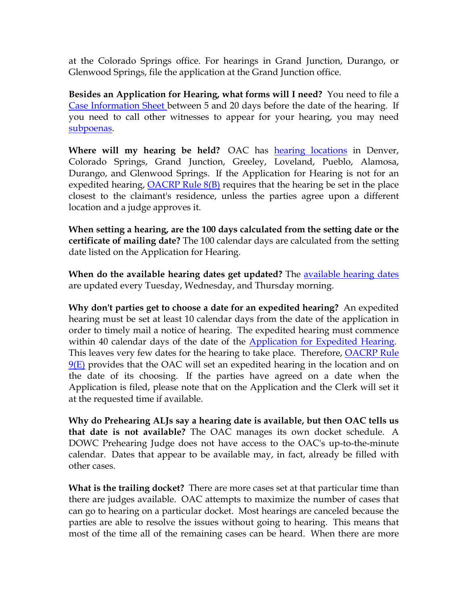<span id="page-3-0"></span>at the Colorado Springs office. For hearings in Grand Junction, Durango, or Glenwood Springs, file the application at the Grand Junction office.

**Besides an Application for Hearing, what forms will I need?** You need to file a [Case Information Sheet b](http://www.colorado.gov/dpa/oac/pdf/cis.pdf)etween 5 and 20 days before the date of the hearing. If you need to call other witnesses to appear for your hearing, you may need [subpoenas.](http://www.colorado.gov/dpa/oac/pdf/Subpoena.pdf)

**Where will my hearing be held?** OAC has hearing locations in Denver, Colorado Springs, Grand Junction, Greeley, Loveland, Pueblo, Alamosa, Durango, and Glenwood Springs. If the Application for Hearing is not for an expedited hearing,  $OACRP$  Rule  $8(B)$  requires that the hearing be set in the place closest to the claimant's residence, unless the parties agree upon a different location and a judge approves it.

**When setting a hearing, are the 100 days calculated from the setting date or the certificate of mailing date?** The 100 calendar days are calculated from the setting date listed on the Application for Hearing.

**When do the available hearing dates get updated?** The [available hearing dates](http://www.colorado.gov/dpa/oac/redesign2008/RWCSet.htm) are updated every Tuesday, Wednesday, and Thursday morning.

**Why don't parties get to choose a date for an expedited hearing?** An expedited hearing must be set at least 10 calendar days from the date of the application in order to timely mail a notice of hearing. The expedited hearing must commence within 40 calendar days of the date of the [Application for Expedited Hearing.](http://www.colorado.gov/dpa/oac/pdf/appexpd.pdf) This leaves very few dates for the hearing to take place. Therefore, **OACRP** Rule  $9(E)$  provides that the OAC will set an expedited hearing in the location and on the date of its choosing. If the parties have agreed on a date when the Application is filed, please note that on the Application and the Clerk will set it at the requested time if available.

**Why do Prehearing ALJs say a hearing date is available, but then OAC tells us that date is not available?** The OAC manages its own docket schedule. A DOWC Prehearing Judge does not have access to the OAC's up-to-the-minute calendar. Dates that appear to be available may, in fact, already be filled with other cases.

**What is the trailing docket?** There are more cases set at that particular time than there are judges available. OAC attempts to maximize the number of cases that can go to hearing on a particular docket. Most hearings are canceled because the parties are able to resolve the issues without going to hearing. This means that most of the time all of the remaining cases can be heard. When there are more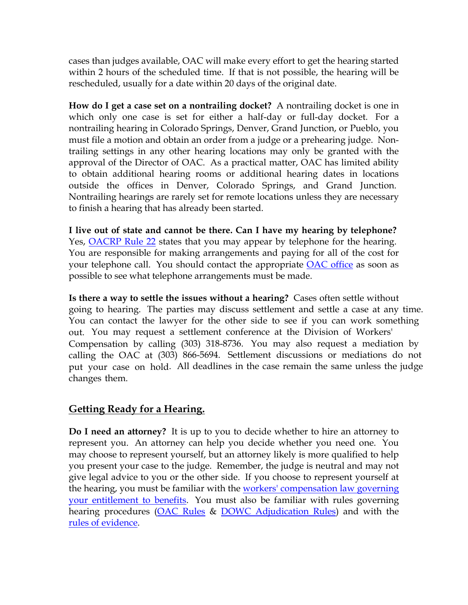<span id="page-4-0"></span>cases than judges available, OAC will make every effort to get the hearing started within 2 hours of the scheduled time. If that is not possible, the hearing will be rescheduled, usually for a date within 20 days of the original date.

**How do I get a case set on a nontrailing docket?** A nontrailing docket is one in which only one case is set for either a half-day or full-day docket. For a nontrailing hearing in Colorado Springs, Denver, Grand Junction, or Pueblo, you must file a motion and obtain an order from a judge or a prehearing judge. Nontrailing settings in any other hearing locations may only be granted with the approval of the Director of OAC. As a practical matter, OAC has limited ability to obtain additional hearing rooms or additional hearing dates in locations outside the offices in Denver, Colorado Springs, and Grand Junction. Nontrailing hearings are rarely set for remote locations unless they are necessary to finish a hearing that has already been started.

**I live out of state and cannot be there. Can I have my hearing by telephone?** Yes, OACRP Rule 22 states that you may appear by telephone for the hearing. You are responsible for making arrangements and paying for all of the cost for your telephone call. You should contact the appropriate [OAC office](http://www.colorado.gov/dpa/oac/redesign2008/RContactinfo.htm) as soon as possible to see what telephone arrangements must be made.

**Is there a way to settle the issues without a hearing?** Cases often settle without going to hearing. The parties may discuss settlement and settle a case at any time. You can contact the lawyer for the other side to see if you can work something out. You may request a settlement conference at the Division of Workers' Compensation by calling (303) 318-8736. You may also request a mediation by calling the OAC at (303) 866-5694. Settlement discussions or mediations do not put your case on hold. All deadlines in the case remain the same unless the judge changes them.

#### **Getting Ready for a Hearing.**

**Do I need an attorney?** It is up to you to decide whether to hire an attorney to represent you. An attorney can help you decide whether you need one. You may choose to represent yourself, but an attorney likely is more qualified to help you present your case to the judge. Remember, the judge is neutral and may not give legal advice to you or the other side. If you choose to represent yourself at the hearing, you must be familiar with the [workers' compensation law governing](http://www.coworkforce.com/DWC/WC_Act/Workers)  [your entitlement to benefits.](http://www.coworkforce.com/DWC/WC_Act/Workers) You must also be familiar with rules governing hearing procedures ([OAC Rules](http://www.colorado.gov/dpa/oac/pdf/OAC-WCRules102605.pdf) & [DOWC Adjudication Rules](http://www.coworkforce.com/dwc/Rules/Rules pdf/RulesLinksTable.asp)) and with the [rules of evidence](http://www.boulder-bar.org/bar_media/evidence/13.11.html).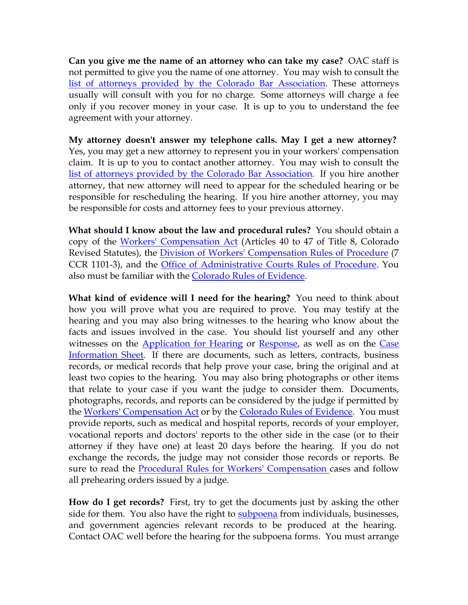<span id="page-5-0"></span>**Can you give me the name of an attorney who can take my case?** OAC staff i[s](http://www.coworkforce.com/DWC/Attorneys/WC provider List (2008).pdf)  not permitted to give you the name of one attorney. You may wish to consult the [list of attorneys provided by the Colorado Bar Association.](http://www.coworkforce.com/DWC/Attorneys/WC provider List (2008).pdf) These attorneys usually will consult with you for no charge. Some attorneys will charge a fee only if you recover money in your case. It is up to you to understand the fee agreement with your attorney.

**My attorney doesn't answer my telephone calls. May I get a new attorney?** Yes, you may get a new attorney to represent you in your workers' compensation claim. It is up to you to contact another attorney. You may wish to consult the [list of attorneys provided by the Colorado Bar Association.](http://www.colorado.gov/dpa/oac/redesign2008/www.coworkforce.com/DWC/Attorneys/WC provider List (2008).pdf) If you hire another attorney, that new attorney will need to appear for the scheduled hearing or be responsible for rescheduling the hearing. If you hire another attorney, you may be responsible for costs and attorney fees to your previous attorney.

**What should I know about the law and procedural rules?** You should obtain a copy of the [Workers' Compensation Act](http://www.coworkforce.com/DWC/WC_Act/Workers) (Articles 40 to 47 of Title 8, Colorado Revised Statutes), the *[Division of Workers' Compensation Rules of Procedure](http://www.coworkforce.com/dwc/Rules/Rules pdf/RulesLinksTable.asp)* (7 CCR 1101-3), and the [Office of Administrative Courts Rules of Procedure.](http://www.colorado.gov/dpa/oac/pdf/OAC-WCRules102605.pdf) You also must be familiar with the [Colorado Rules of Evidence.](http://www.boulder-bar.org/bar_media/evidence/13.11.html)

**What kind of evidence will I need for the hearing?** You need to think about how you will prove what you are required to prove. You may testify at the hearing and you may also bring witnesses to the hearing who know about the facts and issues involved in the case. You should list yourself and any other witnesses on the [Application for Hearing](http://www.colorado.gov/dpa/oac/pdf/apphrg.pdf) or [Response](http://www.colorado.gov/dpa/oac/pdf/RsptoHrng.pdf), as well as on the Case [Information Sheet.](http://www.colorado.gov/dpa/oac/pdf/cis.pdf) If there are documents, such as letters, contracts, business records, or medical records that help prove your case, bring the original and at least two copies to the hearing. You may also bring photographs or other items that relate to your case if you want the judge to consider them. Documents, photographs, records, and reports can be considered by the judge if permitted by the [Workers' Compensation Act](http://www.coworkforce.com/DWC/WC_Act/Workers) or by the [Colorado Rules of Evidence](http://www.boulder-bar.org/bar_media/evidence/13.11.html). You must provide reports, such as medical and hospital reports, records of your employer, vocational reports and doctors' reports to the other side in the case (or to their attorney if they have one) at least 20 days before the hearing. If you do not exchange the records, the judge may not consider those records or reports. Be sure to read the **Procedural Rules for Workers' Compensation** cases and follow all prehearing orders issued by a judge.

**How do I get records?** First, try to get the documents just by asking the other side for them. You also have the right to [subpoena](http://www.colorado.gov/dpa/oac/pdf/Subpoena.pdf) from individuals, businesses, and government agencies relevant records to be produced at the hearing. Contact OAC well before the hearing for the subpoena forms. You must arrange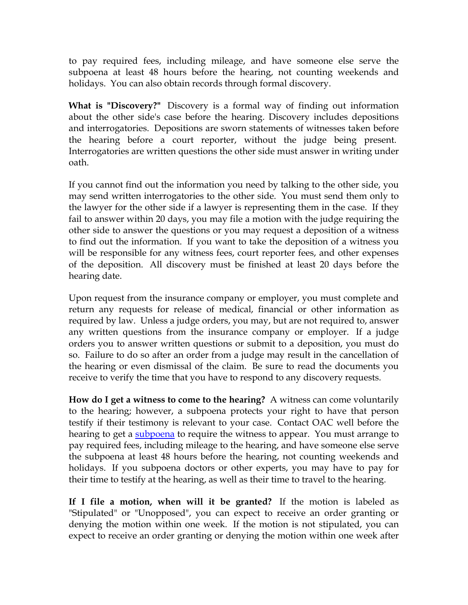<span id="page-6-0"></span>to pay required fees, including mileage, and have someone else serve the subpoena at least 48 hours before the hearing, not counting weekends and holidays. You can also obtain records through formal discovery.

**What is "Discovery?"** Discovery is a formal way of finding out information about the other side's case before the hearing. Discovery includes depositions and interrogatories. Depositions are sworn statements of witnesses taken before the hearing before a court reporter, without the judge being present. Interrogatories are written questions the other side must answer in writing under oath.

If you cannot find out the information you need by talking to the other side, you may send written interrogatories to the other side. You must send them only to the lawyer for the other side if a lawyer is representing them in the case. If they fail to answer within 20 days, you may file a motion with the judge requiring the other side to answer the questions or you may request a deposition of a witness to find out the information. If you want to take the deposition of a witness you will be responsible for any witness fees, court reporter fees, and other expenses of the deposition. All discovery must be finished at least 20 days before the hearing date.

Upon request from the insurance company or employer, you must complete and return any requests for release of medical, financial or other information as required by law. Unless a judge orders, you may, but are not required to, answer any written questions from the insurance company or employer. If a judge orders you to answer written questions or submit to a deposition, you must do so. Failure to do so after an order from a judge may result in the cancellation of the hearing or even dismissal of the claim. Be sure to read the documents you receive to verify the time that you have to respond to any discovery requests.

**How do I get a witness to come to the hearing?** A witness can come voluntarily to the hearing; however, a subpoena protects your right to have that person testify if their testimony is relevant to your case. Contact OAC well before the hearing to get a [subpoena](http://www.colorado.gov/dpa/oac/pdf/Subpoena.pdf) to require the witness to appear. You must arrange to pay required fees, including mileage to the hearing, and have someone else serve the subpoena at least 48 hours before the hearing, not counting weekends and holidays. If you subpoena doctors or other experts, you may have to pay for their time to testify at the hearing, as well as their time to travel to the hearing.

**If I file a motion, when will it be granted?** If the motion is labeled as "Stipulated" or "Unopposed", you can expect to receive an order granting or denying the motion within one week. If the motion is not stipulated, you can expect to receive an order granting or denying the motion within one week after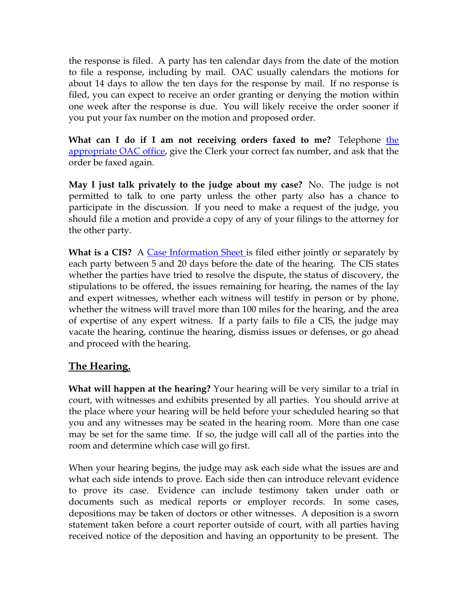<span id="page-7-0"></span>the response is filed. A party has ten calendar days from the date of the motion to file a response, including by mail. OAC usually calendars the motions for about 14 days to allow the ten days for the response by mail. If no response is filed, you can expect to receive an order granting or denying the motion within one week after the response is due. You will likely receive the order sooner if you put your fax number on the motion and proposed order.

**What can I do if I am not receiving orders faxed to me?** Telephone [the](http://www.colorado.gov/dpa/oac/redesign2008/RContactinfo.htm)  [appropriate OAC office,](http://www.colorado.gov/dpa/oac/redesign2008/RContactinfo.htm) give the Clerk your correct fax number, and ask that the order be faxed again.

**May I just talk privately to the judge about my case?** No. The judge is not permitted to talk to one party unless the other party also has a chance to participate in the discussion. If you need to make a request of the judge, you should file a motion and provide a copy of any of your filings to the attorney for the other party.

**What is a CIS?** A [Case Information Sheet](http://www.colorado.gov/dpa/oac/pdf/cis.pdf) is filed either jointly or separately by each party between 5 and 20 days before the date of the hearing. The CIS states whether the parties have tried to resolve the dispute, the status of discovery, the stipulations to be offered, the issues remaining for hearing, the names of the lay and expert witnesses, whether each witness will testify in person or by phone, whether the witness will travel more than 100 miles for the hearing, and the area of expertise of any expert witness. If a party fails to file a CIS, the judge may vacate the hearing, continue the hearing, dismiss issues or defenses, or go ahead and proceed with the hearing.

## **The Hearing.**

**What will happen at the hearing?** Your hearing will be very similar to a trial in court, with witnesses and exhibits presented by all parties. You should arrive at the place where your hearing will be held before your scheduled hearing so that you and any witnesses may be seated in the hearing room. More than one case may be set for the same time. If so, the judge will call all of the parties into the room and determine which case will go first.

When your hearing begins, the judge may ask each side what the issues are and what each side intends to prove. Each side then can introduce relevant evidence to prove its case. Evidence can include testimony taken under oath or documents such as medical reports or employer records. In some cases, depositions may be taken of doctors or other witnesses. A deposition is a sworn statement taken before a court reporter outside of court, with all parties having received notice of the deposition and having an opportunity to be present. The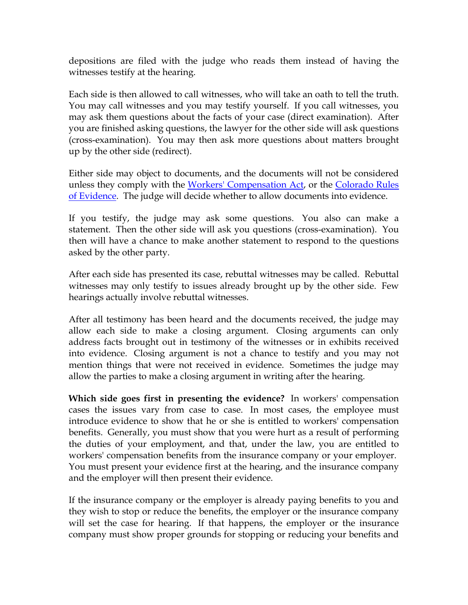<span id="page-8-0"></span>depositions are filed with the judge who reads them instead of having the witnesses testify at the hearing.

Each side is then allowed to call witnesses, who will take an oath to tell the truth. You may call witnesses and you may testify yourself. If you call witnesses, you may ask them questions about the facts of your case (direct examination). After you are finished asking questions, the lawyer for the other side will ask questions (cross-examination). You may then ask more questions about matters brought up by the other side (redirect).

Either side may object to documents, and the documents will not be considered unless they comply with the [Workers' Compensation Act](http://www.coworkforce.com/DWC/WC_Act/Workers), or the Colorado Rules [of Evidence](http://www.boulder-bar.org/bar_media/evidence/13.11.html). The judge will decide whether to allow documents into evidence.

If you testify, the judge may ask some questions. You also can make a statement. Then the other side will ask you questions (cross-examination). You then will have a chance to make another statement to respond to the questions asked by the other party.

After each side has presented its case, rebuttal witnesses may be called. Rebuttal witnesses may only testify to issues already brought up by the other side. Few hearings actually involve rebuttal witnesses.

After all testimony has been heard and the documents received, the judge may allow each side to make a closing argument. Closing arguments can only address facts brought out in testimony of the witnesses or in exhibits received into evidence. Closing argument is not a chance to testify and you may not mention things that were not received in evidence. Sometimes the judge may allow the parties to make a closing argument in writing after the hearing.

**Which side goes first in presenting the evidence?** In workers' compensation cases the issues vary from case to case. In most cases, the employee must introduce evidence to show that he or she is entitled to workers' compensation benefits. Generally, you must show that you were hurt as a result of performing the duties of your employment, and that, under the law, you are entitled to workers' compensation benefits from the insurance company or your employer. You must present your evidence first at the hearing, and the insurance company and the employer will then present their evidence.

If the insurance company or the employer is already paying benefits to you and they wish to stop or reduce the benefits, the employer or the insurance company will set the case for hearing. If that happens, the employer or the insurance company must show proper grounds for stopping or reducing your benefits and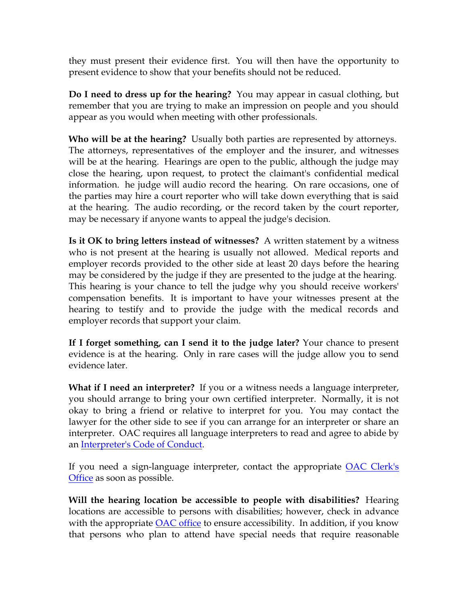<span id="page-9-0"></span>they must present their evidence first. You will then have the opportunity to present evidence to show that your benefits should not be reduced.

**Do I need to dress up for the hearing?** You may appear in casual clothing, but remember that you are trying to make an impression on people and you should appear as you would when meeting with other professionals.

**Who will be at the hearing?** Usually both parties are represented by attorneys. The attorneys, representatives of the employer and the insurer, and witnesses will be at the hearing. Hearings are open to the public, although the judge may close the hearing, upon request, to protect the claimant's confidential medical information. he judge will audio record the hearing. On rare occasions, one of the parties may hire a court reporter who will take down everything that is said at the hearing. The audio recording, or the record taken by the court reporter, may be necessary if anyone wants to appeal the judge's decision.

**Is it OK to bring letters instead of witnesses?** A written statement by a witness who is not present at the hearing is usually not allowed. Medical reports and employer records provided to the other side at least 20 days before the hearing may be considered by the judge if they are presented to the judge at the hearing. This hearing is your chance to tell the judge why you should receive workers' compensation benefits. It is important to have your witnesses present at the hearing to testify and to provide the judge with the medical records and employer records that support your claim.

**If I forget something, can I send it to the judge later?** Your chance to present evidence is at the hearing. Only in rare cases will the judge allow you to send evidence later.

**What if I need an interpreter?** If you or a witness needs a language interpreter, you should arrange to bring your own certified interpreter. Normally, it is not okay to bring a friend or relative to interpret for you. You may contact the lawyer for the other side to see if you can arrange for an interpreter or share an interpreter. OAC requires all language interpreters to read and agree to abide by an [Interpreter's Code of Conduct.](http://www.colorado.gov/dpa/oac/pdf/GuidelinesInterpretation.pdf)

If you need a sign-language interpreter, contact the appropriate [OAC Clerk's](http://www.colorado.gov/dpa/oac/redesign2008/RContactinfo.htm)  [Office](http://www.colorado.gov/dpa/oac/redesign2008/RContactinfo.htm) as soon as possible.

**Will the hearing location be accessible to people with disabilities?** Hearing locations are accessible to persons with disabilities; however, check in advance with the appropriate [OAC office](http://www.colorado.gov/dpa/oac/redesign2008/RContactinfo.htm) to ensure accessibility. In addition, if you know that persons who plan to attend have special needs that require reasonable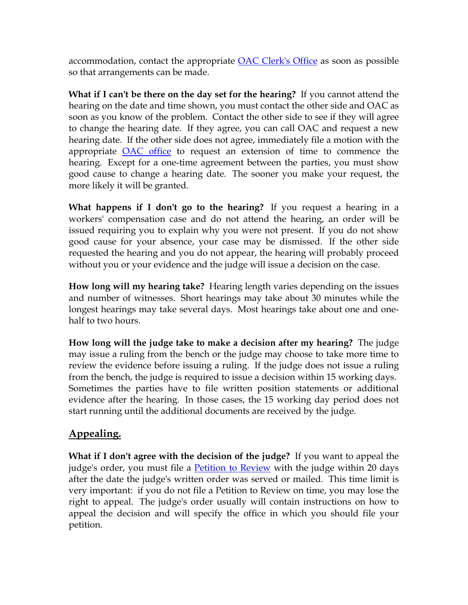<span id="page-10-0"></span>accommodation, contact the appropriate [OAC Clerk's Office](http://www.colorado.gov/dpa/oac/redesign2008/RContactinfo.htm) as soon as possible so that arrangements can be made.

**What if I can't be there on the day set for the hearing?** If you cannot attend the hearing on the date and time shown, you must contact the other side and OAC as soon as you know of the problem. Contact the other side to see if they will agree to change the hearing date. If they agree, you can call OAC and request a new hearing date. If the other side does not agree, immediately file a motion with the appropriate [OAC office](http://www.colorado.gov/dpa/oac/redesign2008/RContactinfo.htm) to request an extension of time to commence the hearing. Except for a one-time agreement between the parties, you must show good cause to change a hearing date. The sooner you make your request, the more likely it will be granted.

**What happens if I don't go to the hearing?** If you request a hearing in a workers' compensation case and do not attend the hearing, an order will be issued requiring you to explain why you were not present. If you do not show good cause for your absence, your case may be dismissed. If the other side requested the hearing and you do not appear, the hearing will probably proceed without you or your evidence and the judge will issue a decision on the case.

**How long will my hearing take?** Hearing length varies depending on the issues and number of witnesses. Short hearings may take about 30 minutes while the longest hearings may take several days. Most hearings take about one and onehalf to two hours.

**How long will the judge take to make a decision after my hearing?** The judge may issue a ruling from the bench or the judge may choose to take more time to review the evidence before issuing a ruling. If the judge does not issue a ruling from the bench, the judge is required to issue a decision within 15 working days. Sometimes the parties have to file written position statements or additional evidence after the hearing. In those cases, the 15 working day period does not start running until the additional documents are received by the judge.

## **Appealing.**

**What if I don't agree with the decision of the judge?** If you want to appeal the judge's order, you must file a [Petition to Review](http://www.colorado.gov/dpa/oac/pdf/PetitiontoReview.pdf) with the judge within 20 days after the date the judge's written order was served or mailed. This time limit is very important: if you do not file a Petition to Review on time, you may lose the right to appeal. The judge's order usually will contain instructions on how to appeal the decision and will specify the office in which you should file your petition.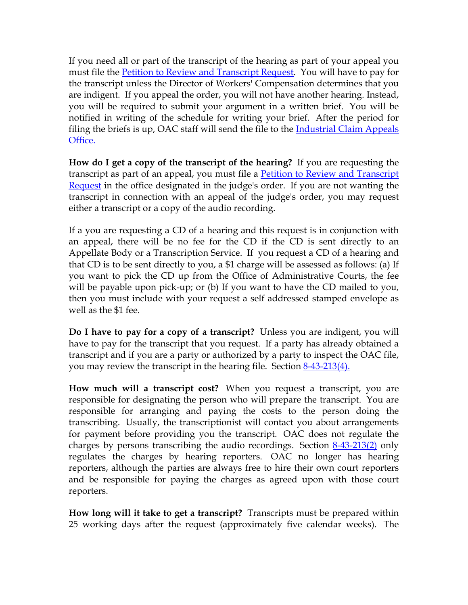<span id="page-11-0"></span>If you need all or part of the transcript of the hearing as part of your appeal you must file the [Petition to Review and Transcript Request](http://www.colorado.gov/dpa/oac/pdf/PetitiontoReview-Transcript.pdf). You will have to pay for the transcript unless the Director of Workers' Compensation determines that you are indigent. If you appeal the order, you will not have another hearing. Instead, you will be required to submit your argument in a written brief. You will be notified in writing of the schedule for writing your brief. After the period for filing the briefs is up, OAC staff will send the file to the *Industrial Claim Appeals* [Office.](http://www.coworkforce.com/icao/default.asp)

**How do I get a copy of the transcript of the hearing?** If you are requesting the transcript as part of an appeal, you must file a [Petition to Review and Transcript](http://www.colorado.gov/dpa/oac/pdf/PetitiontoReview-Transcript.pdf)  [Request](http://www.colorado.gov/dpa/oac/pdf/PetitiontoReview-Transcript.pdf) in the office designated in the judge's order. If you are not wanting the transcript in connection with an appeal of the judge's order, you may request either a transcript or a copy of the audio recording.

If a you are requesting a CD of a hearing and this request is in conjunction with an appeal, there will be no fee for the CD if the CD is sent directly to an Appellate Body or a Transcription Service. If you request a CD of a hearing and that CD is to be sent directly to you, a \$1 charge will be assessed as follows: (a) If you want to pick the CD up from the Office of Administrative Courts, the fee will be payable upon pick-up; or (b) If you want to have the CD mailed to you, then you must include with your request a self addressed stamped envelope as well as the \$1 fee.

**Do I have to pay for a copy of a transcript?** Unless you are indigent, you will have to pay for the transcript that you request. If a party has already obtained a transcript and if you are a party or authorized by a party to inspect the OAC file, you may review the transcript in the hearing file. Section 8-43-213(4).

**How much will a transcript cost?** When you request a transcript, you are responsible for designating the person who will prepare the transcript. You are responsible for arranging and paying the costs to the person doing the transcribing. Usually, the transcriptionist will contact you about arrangements for payment before providing you the transcript. OAC does not regulate the charges by persons transcribing the audio recordings. Section [8-43-213\(2\)](http://www.coworkforce.com/dwc/WC_Act/Pages/Workers_Compensation_Act_) only regulates the charges by hearing reporters. OAC no longer has hearing reporters, although the parties are always free to hire their own court reporters and be responsible for paying the charges as agreed upon with those court reporters.

**How long will it take to get a transcript?** Transcripts must be prepared within 25 working days after the request (approximately five calendar weeks). The